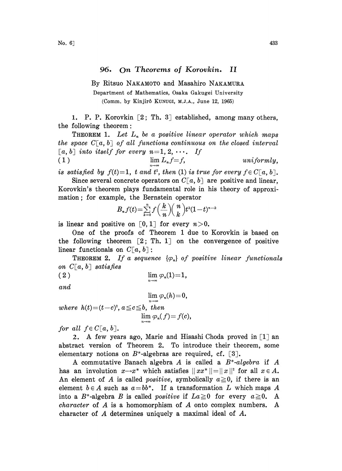## 96. On Theorems of Korovkin. II

By Ritsuo NAKAMOTO and Masahiro NAKAMURA

Department of Mathematics, Osaka Gakugei University (Comm. by Kinjirô KUNUGI, M.J.A., June 12, 1965)

1. P. P. Korovkin  $\lceil 2, Th. 3 \rceil$  established, among many others, the following theorem:

**THEOREM 1.** Let  $L_n$  be a positive linear operator which maps the space  $C[a, b]$  of all functions continuous on the closed interval [a, b] into itself for every  $n=1, 2, \cdots$ . If <br>(1)  $\lim L_n f = f$ ,  $\lim_{n\to\infty} L_n f = f,$  uniformly,

is satisfied by  $f(t)=1$ , t and  $t^2$ , then (1) is true for every  $f \in C[a, b]$ .

Since several concrete operators on  $C[a, b]$  are positive and linear, Korovkin's theorem plays fundamental role in his theory of approximation; for example, the Bernstein operator

$$
B_nf(t)\!=\!\textstyle\sum\limits_{k=0}^{n}f\!\left(\frac{k}{n}\right)\!\!\left(\frac{n}{k}\right)\!t^k(1\!-\!t)^{n-k}
$$

is linear and positive on  $\lceil 0, 1 \rceil$  for every  $n>0$ .

One of the proofs of Theorem 1 due to Korovkin is based on the following theorem  $\lceil 2, Th, 1 \rceil$  on the convergence of positive linear functionals on  $C[a, b]$ :

**THEOREM 2.** If a sequence  $\{\varphi_n\}$  of positive linear functionals on  $C[a, b]$  satisfies

$$
(2) \qquad \qquad \lim_{n\to\infty} \varphi_n(1) = 1,
$$

and

$$
\lim_{n \to \infty} \varphi_n(h) = 0,
$$
  
where  $h(t) = (t - c)^2$ ,  $a \leq c \leq b$ , then  

$$
\lim_{n \to \infty} \varphi_n(f) = f(c),
$$

for all  $f \in C[a, b]$ .

2. A few years ago, Marie and Hisashi Choda proved in  $\lceil 1 \rceil$  an abstract version of Theorem 2. To introduce their theorem, some elementary notions on  $B^*$ -algebras are required, cf. [3].

A commutative Banach algebra A is called a  $B^*$ -algebra if A has an involution  $x \rightarrow x^*$  which satisfies  $||xx^*|| = ||x||^2$  for all  $x \in A$ . An element of A is called *positive*, symbolically  $a \ge 0$ , if there is an element  $b \in A$  such as  $a = bb^*$ . If a transformation L which maps A into a  $B^*$ -algebra B is called *positive* if  $La \geq 0$  for every  $a \geq 0$ . A *character* of  $A$  is a homomorphism of  $A$  onto complex numbers. A character of A determines uniquely <sup>a</sup> maximal ideal of A.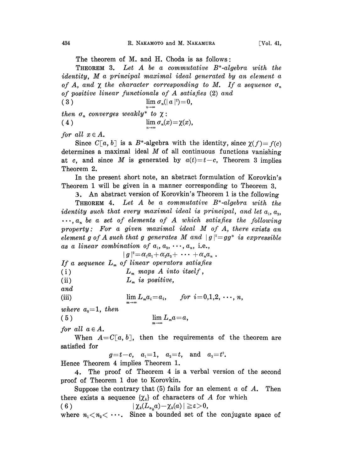THEOREM 3. Let A be <sup>a</sup> commutative B\*-algebra with the identity, M <sup>a</sup> principal maximal ideal generated by an element <sup>a</sup> of A, and  $\chi$  the character corresponding to M. If a sequence  $\sigma_n$ of positive linear functionals of A satisfies (2) and

( 3 ) lim  $\sigma_n(|a|^2)=0$ ,

then  $\sigma_n$  converges weakly\* to  $\chi$ :<br>(4)  $\lim \sigma_n(x)$  $\lim \sigma_n(x) = \chi(x),$ 

for all  $x \in A$ .

Since  $C[a, b]$  is a B<sup>\*</sup>-algebra with the identity, since  $\gamma(f) = f(c)$ determines a maximal ideal  $M$  of all continuous functions vanishing at c, and since M is generated by  $a(t)=t-c$ , Theorem 3 implies Theorem 2.

In the present short note, an abstract formulation of Korovkin's Theorem 1 will be given in a manner corresponding to Theorem 3.

3. An abstract version of Korovkin's Theorem 1 is the following

**THEOREM** 4. Let A be a commutative  $B^*$ -algebra with the *identity* such that every maximal ideal is principal, and let  $a_1, a_2$ ,  $\ldots, a_n$  be a set of elements of A which satisfies the following property: For a given maximal ideal  $M$  of  $A$ , there exists an element g of A such that g generates M and  $|g|^2 = gg^*$  is expressible

as a linear combination of 
$$
a_1, a_2, \dots, a_n
$$
, i.e.,  
\n
$$
|g|^2 = \alpha_1 a_1 + \alpha_2 a_2 + \dots + \alpha_n a_n
$$
\nIf a sequence  $L_m$  of linear operators satisfies  
\n(i)  $L_m$  maps A into itself,  
\n(ii)  $L_m$  is positive,  
\nand  
\n(iii)  $\lim_{m \to \infty} L_m a_i = a_i$ , for  $i = 0,1,2, \dots, n$ ,

where  $a_0=1$ , then

$$
(5) \qquad \qquad \lim_{m \to \infty} L_m a = a,
$$

for all  $a \in A$ .

When  $A=C[a, b]$ , then the requirements of the theorem are satisfied for

 $g=t-c$ ,  $a_1=1$ ,  $a_2=t$ , and  $a_3=t^2$ . Hence Theorem 4 implies Theorem l.

4. The proof of Theorem 4 is a verbal version of the second proof of Theorem 1 due to Korovkin.

Suppose the contrary that  $(5)$  fails for an element a of A. Then there exists a sequence  $\{\chi_k\}$  of characters of A for which  $(6)$  $|\chi_k(L_{n,\alpha})-\chi_k(a)|\geq \varepsilon>0,$ 

where  $n_1 < n_2 < \cdots$ . Since a bounded set of the conjugate space of